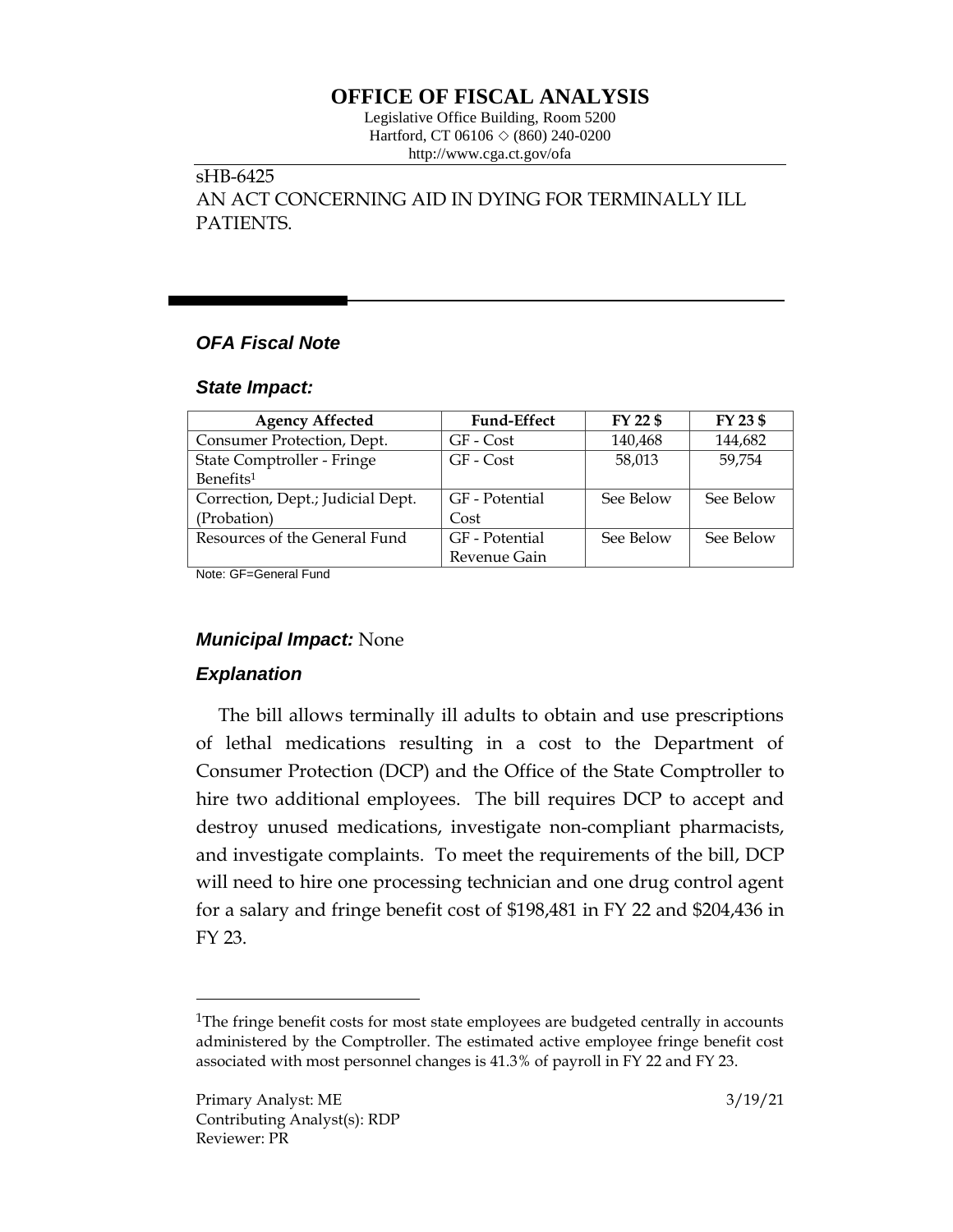# **OFFICE OF FISCAL ANALYSIS**

Legislative Office Building, Room 5200 Hartford, CT 06106  $\Diamond$  (860) 240-0200 http://www.cga.ct.gov/ofa

# sHB-6425 AN ACT CONCERNING AID IN DYING FOR TERMINALLY ILL PATIENTS.

# *OFA Fiscal Note*

#### *State Impact:*

| <b>Agency Affected</b>            | <b>Fund-Effect</b> | FY 22 \$  | FY 23 \$  |
|-----------------------------------|--------------------|-----------|-----------|
| Consumer Protection, Dept.        | GF - Cost          | 140,468   | 144,682   |
| State Comptroller - Fringe        | GF - Cost          | 58,013    | 59,754    |
| Benefits <sup>1</sup>             |                    |           |           |
| Correction, Dept.; Judicial Dept. | GF - Potential     | See Below | See Below |
| (Probation)                       | Cost               |           |           |
| Resources of the General Fund     | GF - Potential     | See Below | See Below |
|                                   | Revenue Gain       |           |           |

Note: GF=General Fund

# *Municipal Impact:* None

# *Explanation*

 $\overline{a}$ 

The bill allows terminally ill adults to obtain and use prescriptions of lethal medications resulting in a cost to the Department of Consumer Protection (DCP) and the Office of the State Comptroller to hire two additional employees. The bill requires DCP to accept and destroy unused medications, investigate non-compliant pharmacists, and investigate complaints. To meet the requirements of the bill, DCP will need to hire one processing technician and one drug control agent for a salary and fringe benefit cost of \$198,481 in FY 22 and \$204,436 in FY 23.

<sup>&</sup>lt;sup>1</sup>The fringe benefit costs for most state employees are budgeted centrally in accounts administered by the Comptroller. The estimated active employee fringe benefit cost associated with most personnel changes is 41.3% of payroll in FY 22 and FY 23.